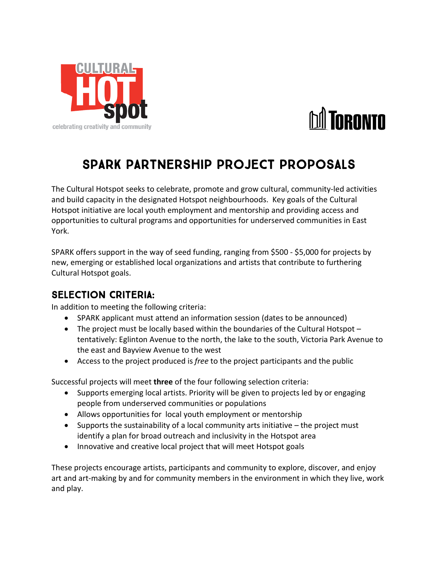



## SPARK Partnership Project Proposals

The Cultural Hotspot seeks to celebrate, promote and grow cultural, community-led activities and build capacity in the designated Hotspot neighbourhoods. Key goals of the Cultural Hotspot initiative are local youth employment and mentorship and providing access and opportunities to cultural programs and opportunities for underserved communities in East York.

SPARK offers support in the way of seed funding, ranging from \$500 - \$5,000 for projects by new, emerging or established local organizations and artists that contribute to furthering Cultural Hotspot goals.

## SELECTION CRITERIA:

In addition to meeting the following criteria:

- SPARK applicant must attend an information session (dates to be announced)
- The project must be locally based within the boundaries of the Cultural Hotspot tentatively: Eglinton Avenue to the north, the lake to the south, Victoria Park Avenue to the east and Bayview Avenue to the west
- Access to the project produced is *free* to the project participants and the public

Successful projects will meet **three** of the four following selection criteria:

- Supports emerging local artists. Priority will be given to projects led by or engaging people from underserved communities or populations
- Allows opportunities for local youth employment or mentorship
- Supports the sustainability of a local community arts initiative the project must identify a plan for broad outreach and inclusivity in the Hotspot area
- Innovative and creative local project that will meet Hotspot goals

These projects encourage artists, participants and community to explore, discover, and enjoy art and art-making by and for community members in the environment in which they live, work and play.